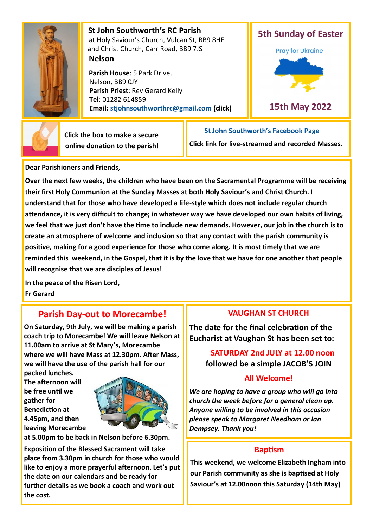

 **St John Southworth's RC Parish** at Holy Saviour's Church, Vulcan St, BB9 8HE and Christ Church, Carr Road, BB9 7JS **Nelson**

 **Parish House**: 5 Park Drive, Nelson, BB9 0JY **Parish Priest**: Rev Gerard Kelly **Tel**: 01282 614859 **Email: [stjohnsouthworthrc@gmail.com](mailto:stjohnsouthworth@gmail.com) (click)**





 **Click the box to make a secure online donation to the parish!**

## **[St John Southworth](https://www.facebook.com/Parish-of-St-John-Southworth-in-Nelson-105718084323986)'s Facebook Page**

**Click link for live-streamed and recorded Masses.**

**Dear Parishioners and Friends,**

**Over the next few weeks, the children who have been on the Sacramental Programme will be receiving their first Holy Communion at the Sunday Masses at both Holy Saviour's and Christ Church. I understand that for those who have developed a life-style which does not include regular church attendance, it is very difficult to change; in whatever way we have developed our own habits of living, we feel that we just don't have the time to include new demands. However, our job in the church is to create an atmosphere of welcome and inclusion so that any contact with the parish community is positive, making for a good experience for those who come along. It is most timely that we are reminded this weekend, in the Gospel, that it is by the love that we have for one another that people will recognise that we are disciples of Jesus!**

**In the peace of the Risen Lord, Fr Gerard**

# **Parish Day-out to Morecambe!**

**On Saturday, 9th July, we will be making a parish coach trip to Morecambe! We will leave Nelson at 11.00am to arrive at St Mary's, Morecambe where we will have Mass at 12.30pm. After Mass, we will have the use of the parish hall for our packed lunches.** 

**The afternoon will be free until we gather for Benediction at 4.45pm, and then leaving Morecambe** 



**at 5.00pm to be back in Nelson before 6.30pm.** 

**Exposition of the Blessed Sacrament will take place from 3.30pm in church for those who would like to enjoy a more prayerful afternoon. Let's put the date on our calendars and be ready for further details as we book a coach and work out the cost.** 

## **VAUGHAN ST CHURCH**

**The date for the final celebration of the Eucharist at Vaughan St has been set to:**

# **SATURDAY 2nd JULY at 12.00 noon followed be a simple JACOB'S JOIN**

## **All Welcome!**

*We are hoping to have a group who will go into church the week before for a general clean up. Anyone willing to be involved in this occasion please speak to Margaret Needham or Ian Dempsey. Thank you!*

## **Baptism**

**This weekend, we welcome Elizabeth Ingham into our Parish community as she is baptised at Holy Saviour's at 12.00noon this Saturday (14th May)**